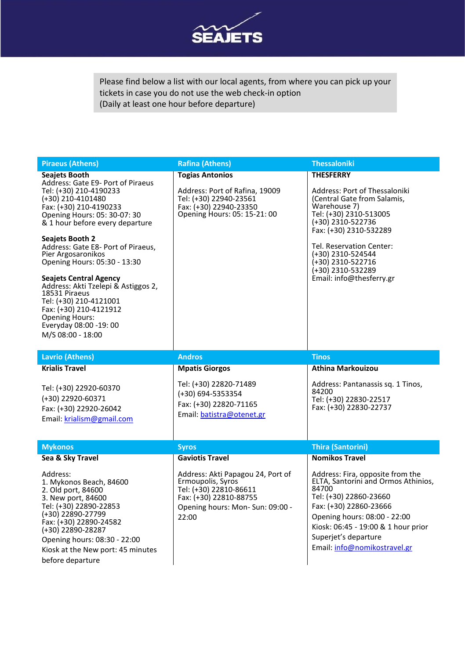

Please find below a list with our local agents, from where you can pick up your tickets in case you do not use the web check-in option (Daily at least one hour before departure)

| <b>Piraeus (Athens)</b>                                                                                                                                                                                                                                                                                                                                                                                                                                                                                                                           | <b>Rafina (Athens)</b>                                                                                                                                                           | <b>Thessaloniki</b>                                                                                                                                                                                                                                                                              |
|---------------------------------------------------------------------------------------------------------------------------------------------------------------------------------------------------------------------------------------------------------------------------------------------------------------------------------------------------------------------------------------------------------------------------------------------------------------------------------------------------------------------------------------------------|----------------------------------------------------------------------------------------------------------------------------------------------------------------------------------|--------------------------------------------------------------------------------------------------------------------------------------------------------------------------------------------------------------------------------------------------------------------------------------------------|
| <b>Seajets Booth</b><br>Address: Gate E9- Port of Piraeus<br>Tel: (+30) 210-4190233<br>$(+30)$ 210-4101480<br>Fax: (+30) 210-4190233<br>Opening Hours: 05: 30-07: 30<br>& 1 hour before every departure<br><b>Seajets Booth 2</b><br>Address: Gate E8- Port of Piraeus,<br>Pier Argosaronikos<br>Opening Hours: 05:30 - 13:30<br><b>Seajets Central Agency</b><br>Address: Akti Tzelepi & Astiggos 2,<br>18531 Piraeus<br>Tel: (+30) 210-4121001<br>Fax: (+30) 210-4121912<br><b>Opening Hours:</b><br>Everyday 08:00 -19:00<br>M/S 08:00 - 18:00 | <b>Togias Antonios</b><br>Address: Port of Rafina, 19009<br>Tel: (+30) 22940-23561<br>Fax: (+30) 22940-23350<br>Opening Hours: 05: 15-21: 00                                     | <b>THESFERRY</b><br>Address: Port of Thessaloniki<br>(Central Gate from Salamis,<br>Warehouse 7)<br>Tel: (+30) 2310-513005<br>(+30) 2310-522736<br>Fax: (+30) 2310-532289<br>Tel. Reservation Center:<br>(+30) 2310-524544<br>(+30) 2310-522716<br>(+30) 2310-532289<br>Email: info@thesferry.gr |
| <b>Lavrio (Athens)</b>                                                                                                                                                                                                                                                                                                                                                                                                                                                                                                                            | <b>Andros</b>                                                                                                                                                                    | <b>Tinos</b>                                                                                                                                                                                                                                                                                     |
| <b>Krialis Travel</b><br>Tel: (+30) 22920-60370<br>(+30) 22920-60371<br>Fax: (+30) 22920-26042<br>Email: krialism@gmail.com                                                                                                                                                                                                                                                                                                                                                                                                                       | <b>Mpatis Giorgos</b><br>Tel: (+30) 22820-71489<br>(+30) 694-5353354<br>Fax: (+30) 22820-71165<br>Email: batistra@otenet.gr                                                      | <b>Athina Markouizou</b><br>Address: Pantanassis sq. 1 Tinos,<br>84200<br>Tel: (+30) 22830-22517<br>Fax: (+30) 22830-22737                                                                                                                                                                       |
| <b>Mykonos</b>                                                                                                                                                                                                                                                                                                                                                                                                                                                                                                                                    | <b>Syros</b>                                                                                                                                                                     | <b>Thira (Santorini)</b>                                                                                                                                                                                                                                                                         |
| Sea & Sky Travel<br>Address:<br>1. Mykonos Beach, 84600<br>2. Old port, 84600<br>3. New port, 84600<br>Tel: (+30) 22890-22853<br>(+30) 22890-27799<br>Fax: (+30) 22890-24582<br>(+30) 22890-28287<br>Opening hours: 08:30 - 22:00<br>Kiosk at the New port: 45 minutes<br>before departure                                                                                                                                                                                                                                                        | <b>Gaviotis Travel</b><br>Address: Akti Papagou 24, Port of<br>Ermoupolis, Syros<br>Tel: (+30) 22810-86611<br>Fax: (+30) 22810-88755<br>Opening hours: Mon-Sun: 09:00 -<br>22:00 | <b>Nomikos Travel</b><br>Address: Fira, opposite from the<br>ELTA, Santorini and Ormos Athinios,<br>84700<br>Tel: (+30) 22860-23660<br>Fax: (+30) 22860-23666<br>Opening hours: 08:00 - 22:00<br>Kiosk: 06:45 - 19:00 & 1 hour prior<br>Superjet's departure<br>Email: info@nomikostravel.gr     |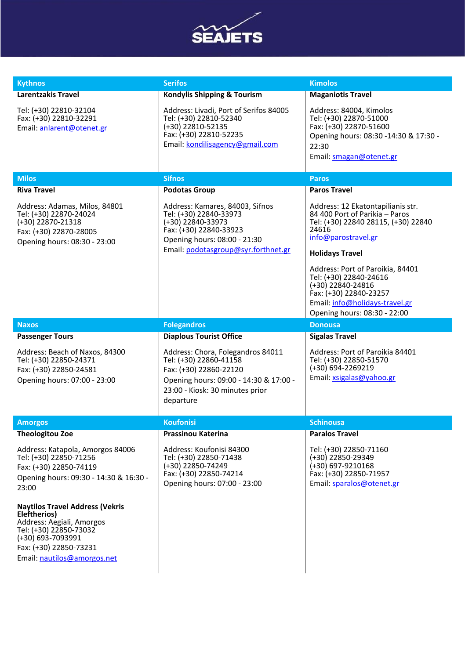

| <b>Kythnos</b>                                                                                                                                                                              | <b>Serifos</b>                                                                                                                                                                    | <b>Kimolos</b>                                                                                                                                                                                                                     |
|---------------------------------------------------------------------------------------------------------------------------------------------------------------------------------------------|-----------------------------------------------------------------------------------------------------------------------------------------------------------------------------------|------------------------------------------------------------------------------------------------------------------------------------------------------------------------------------------------------------------------------------|
| Larentzakis Travel                                                                                                                                                                          | <b>Kondylis Shipping &amp; Tourism</b>                                                                                                                                            | <b>Maganiotis Travel</b>                                                                                                                                                                                                           |
| Tel: (+30) 22810-32104<br>Fax: (+30) 22810-32291<br>Email: anlarent@otenet.gr                                                                                                               | Address: Livadi, Port of Serifos 84005<br>Tel: (+30) 22810-52340<br>(+30) 22810-52135<br>Fax: (+30) 22810-52235<br>Email: kondilisagency@gmail.com                                | Address: 84004, Kimolos<br>Tel: (+30) 22870-51000<br>Fax: (+30) 22870-51600<br>Opening hours: 08:30 -14:30 & 17:30 -<br>22:30<br>Email: smagan@otenet.gr                                                                           |
| <b>Milos</b>                                                                                                                                                                                | <b>Sifnos</b>                                                                                                                                                                     | <b>Paros</b>                                                                                                                                                                                                                       |
| <b>Riva Travel</b>                                                                                                                                                                          | <b>Podotas Group</b>                                                                                                                                                              | <b>Paros Travel</b>                                                                                                                                                                                                                |
| Address: Adamas, Milos, 84801<br>Tel: (+30) 22870-24024<br>$(+30)$ 22870-21318<br>Fax: (+30) 22870-28005<br>Opening hours: 08:30 - 23:00                                                    | Address: Kamares, 84003, Sifnos<br>Tel: (+30) 22840-33973<br>$(+30)$ 22840-33973<br>Fax: (+30) 22840-33923<br>Opening hours: 08:00 - 21:30<br>Email: podotasgroup@syr.forthnet.gr | Address: 12 Ekatontapilianis str.<br>84 400 Port of Parikia - Paros<br>Tel: (+30) 22840 28115, (+30) 22840<br>24616<br>info@parostravel.gr<br><b>Holidays Travel</b><br>Address: Port of Paroikia, 84401<br>Tel: (+30) 22840-24616 |
|                                                                                                                                                                                             |                                                                                                                                                                                   | (+30) 22840-24816<br>Fax: (+30) 22840-23257                                                                                                                                                                                        |
|                                                                                                                                                                                             |                                                                                                                                                                                   | Email: info@holidays-travel.gr                                                                                                                                                                                                     |
|                                                                                                                                                                                             |                                                                                                                                                                                   | Opening hours: 08:30 - 22:00                                                                                                                                                                                                       |
| <b>Naxos</b><br><b>Passenger Tours</b>                                                                                                                                                      | <b>Folegandros</b><br><b>Diaplous Tourist Office</b>                                                                                                                              | <b>Donousa</b><br><b>Sigalas Travel</b>                                                                                                                                                                                            |
| Address: Beach of Naxos, 84300<br>Tel: (+30) 22850-24371<br>Fax: (+30) 22850-24581<br>Opening hours: 07:00 - 23:00                                                                          | Address: Chora, Folegandros 84011<br>Tel: (+30) 22860-41158<br>Fax: (+30) 22860-22120<br>Opening hours: 09:00 - 14:30 & 17:00 -<br>23:00 - Kiosk: 30 minutes prior<br>departure   | Address: Port of Paroikia 84401<br>Tel: (+30) 22850-51570<br>$(+30)$ 694-2269219<br>Email: xsigalas@yahoo.gr                                                                                                                       |
| <b>Amorgos</b>                                                                                                                                                                              | <b>Koufonisi</b>                                                                                                                                                                  | <b>Schinousa</b>                                                                                                                                                                                                                   |
| <b>Theologitou Zoe</b>                                                                                                                                                                      | <b>Prassinou Katerina</b>                                                                                                                                                         | <b>Paralos Travel</b>                                                                                                                                                                                                              |
| Address: Katapola, Amorgos 84006<br>Tel: (+30) 22850-71256<br>Fax: (+30) 22850-74119<br>Opening hours: 09:30 - 14:30 & 16:30 -<br>23:00                                                     | Address: Koufonisi 84300<br>Tel: (+30) 22850-71438<br>(+30) 22850-74249<br>Fax: (+30) 22850-74214<br>Opening hours: 07:00 - 23:00                                                 | Tel: (+30) 22850-71160<br>(+30) 22850-29349<br>$(+30)$ 697-9210168<br>Fax: (+30) 22850-71957<br>Email: sparalos@otenet.gr                                                                                                          |
| <b>Naytilos Travel Address (Vekris</b><br>Eleftherios)<br>Address: Aegiali, Amorgos<br>Tel: (+30) 22850-73032<br>(+30) 693-7093991<br>Fax: (+30) 22850-73231<br>Email: nautilos@amorgos.net |                                                                                                                                                                                   |                                                                                                                                                                                                                                    |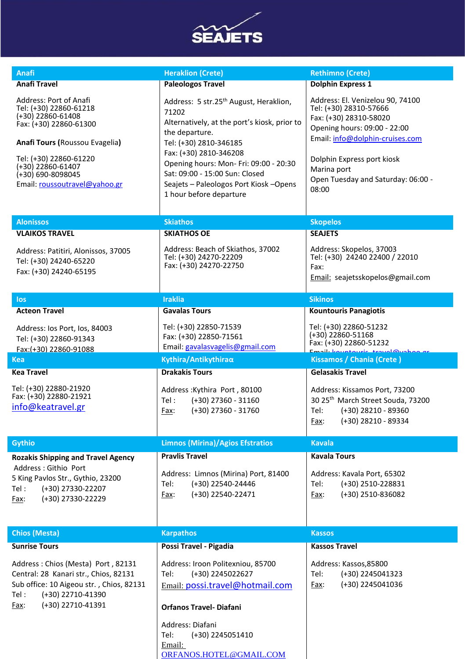

| <b>Anafi</b><br><b>Anafi Travel</b><br>Address: Port of Anafi<br>Tel: (+30) 22860-61218                                                                                              | <b>Heraklion (Crete)</b><br><b>Paleologos Travel</b>                                                                                                                                                                                                                                                                                | <b>Rethimno (Crete)</b><br><b>Dolphin Express 1</b>                                                                                                                                                                                                 |
|--------------------------------------------------------------------------------------------------------------------------------------------------------------------------------------|-------------------------------------------------------------------------------------------------------------------------------------------------------------------------------------------------------------------------------------------------------------------------------------------------------------------------------------|-----------------------------------------------------------------------------------------------------------------------------------------------------------------------------------------------------------------------------------------------------|
|                                                                                                                                                                                      |                                                                                                                                                                                                                                                                                                                                     |                                                                                                                                                                                                                                                     |
|                                                                                                                                                                                      |                                                                                                                                                                                                                                                                                                                                     |                                                                                                                                                                                                                                                     |
| $(+30)$ 22860-61408<br>Fax: (+30) 22860-61300<br>Anafi Tours (Roussou Evagelia)<br>Tel: (+30) 22860-61220<br>(+30) 22860-61407<br>(+30) 690-8098045<br>Email: roussoutravel@yahoo.gr | Address: 5 str.25 <sup>th</sup> August, Heraklion,<br>71202<br>Alternatively, at the port's kiosk, prior to<br>the departure.<br>Tel: (+30) 2810-346185<br>Fax: (+30) 2810-346208<br>Opening hours: Mon- Fri: 09:00 - 20:30<br>Sat: 09:00 - 15:00 Sun: Closed<br>Seajets - Paleologos Port Kiosk - Opens<br>1 hour before departure | Address: El. Venizelou 90, 74100<br>Tel: (+30) 28310-57666<br>Fax: (+30) 28310-58020<br>Opening hours: 09:00 - 22:00<br>Email: info@dolphin-cruises.com<br>Dolphin Express port kiosk<br>Marina port<br>Open Tuesday and Saturday: 06:00 -<br>08:00 |
| <b>Alonissos</b>                                                                                                                                                                     | <b>Skiathos</b>                                                                                                                                                                                                                                                                                                                     | <b>Skopelos</b>                                                                                                                                                                                                                                     |
| <b>VLAIKOS TRAVEL</b>                                                                                                                                                                | <b>SKIATHOS OE</b>                                                                                                                                                                                                                                                                                                                  | <b>SEAJETS</b>                                                                                                                                                                                                                                      |
| Address: Patitiri, Alonissos, 37005<br>Tel: (+30) 24240-65220<br>Fax: (+30) 24240-65195                                                                                              | Address: Beach of Skiathos, 37002<br>Tel: (+30) 24270-22209<br>Fax: (+30) 24270-22750                                                                                                                                                                                                                                               | Address: Skopelos, 37003<br>Tel: (+30) 24240 22400 / 22010<br>Fax:<br>Email: seajetsskopelos@gmail.com                                                                                                                                              |
| los                                                                                                                                                                                  | <b>Iraklia</b>                                                                                                                                                                                                                                                                                                                      | <b>Sikinos</b>                                                                                                                                                                                                                                      |
| <b>Acteon Travel</b>                                                                                                                                                                 | <b>Gavalas Tours</b>                                                                                                                                                                                                                                                                                                                | <b>Kountouris Panagiotis</b>                                                                                                                                                                                                                        |
| Address: los Port, los, 84003<br>Tel: (+30) 22860-91343<br>Fax:(+30) 22860-91088                                                                                                     | Tel: (+30) 22850-71539<br>Fax: (+30) 22850-71561<br>Email: gavalasvagelis@gmail.com                                                                                                                                                                                                                                                 | Tel: (+30) 22860-51232<br>$(+30)$ 22860-51168<br>Fax: (+30) 22860-51232<br>Email: kountourie tra<br>تمطونها                                                                                                                                         |
| Kea                                                                                                                                                                                  | Kythira/Antikythiraα                                                                                                                                                                                                                                                                                                                | Kissamos / Chania (Crete)                                                                                                                                                                                                                           |
| <b>Kea Travel</b><br>Tel: (+30) 22880-21920<br>Fax: (+30) 22880-21921<br>info@keatravel.gr                                                                                           | <b>Drakakis Tours</b><br>Address: Kythira Port, 80100<br>$(+30)$ 27360 - 31160<br>Tel :<br>$(+30)$ 27360 - 31760<br>Fax:                                                                                                                                                                                                            | <b>Gelasakis Travel</b><br>Address: Kissamos Port, 73200<br>30 25 <sup>th</sup> March Street Souda, 73200<br>$(+30)$ 28210 - 89360<br>Tel:<br>(+30) 28210 - 89334<br>Fax:                                                                           |
| <b>Gythio</b>                                                                                                                                                                        | <b>Limnos (Mirina)/Agios Efstratios</b>                                                                                                                                                                                                                                                                                             | <b>Kavala</b>                                                                                                                                                                                                                                       |
| <b>Rozakis Shipping and Travel Agency</b>                                                                                                                                            | <b>Pravlis Travel</b>                                                                                                                                                                                                                                                                                                               | <b>Kavala Tours</b>                                                                                                                                                                                                                                 |
| Address : Githio Port<br>5 King Pavlos Str., Gythio, 23200<br>Tel:<br>(+30) 27330-22207<br>(+30) 27330-22229<br>Fax:                                                                 | Address: Limnos (Mirina) Port, 81400<br>Tel:<br>(+30) 22540-24446<br>(+30) 22540-22471<br>Fax:                                                                                                                                                                                                                                      | Address: Kavala Port, 65302<br>Tel:<br>(+30) 2510-228831<br>(+30) 2510-836082<br>Fax:                                                                                                                                                               |
| <b>Chios (Mesta)</b>                                                                                                                                                                 | <b>Karpathos</b>                                                                                                                                                                                                                                                                                                                    | <b>Kassos</b>                                                                                                                                                                                                                                       |
| <b>Sunrise Tours</b>                                                                                                                                                                 | Possi Travel - Pigadia                                                                                                                                                                                                                                                                                                              | <b>Kassos Travel</b>                                                                                                                                                                                                                                |
| Address: Chios (Mesta) Port, 82131<br>Central: 28 Kanari str., Chios, 82131<br>Sub office: 10 Aigeou str., Chios, 82131<br>(+30) 22710-41390<br>Tel :<br>(+30) 22710-41391<br>Fax:   | Address: Iroon Politexniou, 85700<br>Tel:<br>(+30) 2245022627<br>Email: possi.travel@hotmail.com<br><b>Orfanos Travel- Diafani</b><br>Address: Diafani<br>Tel:<br>(+30) 2245051410                                                                                                                                                  | Address: Kassos, 85800<br>Tel:<br>(+30) 2245041323<br>(+30) 2245041036<br>Fax:                                                                                                                                                                      |

[ORFANOS.HOTEL@GMAIL.COM](mailto:ORFANOS.HOTEL@GMAIL.COM)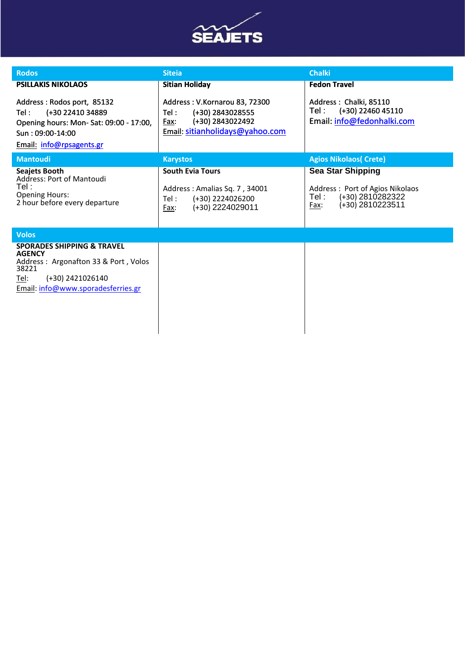

| <b>Rodos</b>                                                                                                                                                                     | <b>Siteia</b>                                                                                                            | <b>Chalki</b>                                                                                                         |
|----------------------------------------------------------------------------------------------------------------------------------------------------------------------------------|--------------------------------------------------------------------------------------------------------------------------|-----------------------------------------------------------------------------------------------------------------------|
| <b>PSILLAKIS NIKOLAOS</b>                                                                                                                                                        | <b>Sitian Holiday</b>                                                                                                    | <b>Fedon Travel</b>                                                                                                   |
| Address: Rodos port, 85132<br>(+30 22410 34889<br>Tel :<br>Opening hours: Mon-Sat: 09:00 - 17:00,<br>Sun: 09:00-14:00<br><b>Email: info@rpsagents.gr</b>                         | Address: V.Kornarou 83, 72300<br>(+30) 2843028555<br>Tel:<br>(+30) 2843022492<br>Fax:<br>Email: sitianholidays@yahoo.com | Address: Chalki, 85110<br>(+30) 22460 45110<br>Tel :⊹<br>Email: info@fedonhalki.com                                   |
| <b>Mantoudi</b>                                                                                                                                                                  | <b>Karystos</b>                                                                                                          | <b>Agios Nikolaos (Crete)</b>                                                                                         |
| <b>Seajets Booth</b><br>Address: Port of Mantoudi<br>Tel :<br><b>Opening Hours:</b><br>2 hour before every departure                                                             | <b>South Evia Tours</b><br>Address: Amalias Sq. 7, 34001<br>(+30) 2224026200<br>Tel :<br>(+30) 2224029011<br>Fax:        | <b>Sea Star Shipping</b><br>Address: Port of Agios Nikolaos<br>(+30) 2810282322<br>Tel :-<br>(+30) 2810223511<br>Fax: |
| <b>Volos</b>                                                                                                                                                                     |                                                                                                                          |                                                                                                                       |
| <b>SPORADES SHIPPING &amp; TRAVEL</b><br><b>AGENCY</b><br>Address: Argonafton 33 & Port, Volos<br>38221<br><u>Tel:</u><br>(+30) 2421026140<br>Email: info@www.sporadesferries.gr |                                                                                                                          |                                                                                                                       |